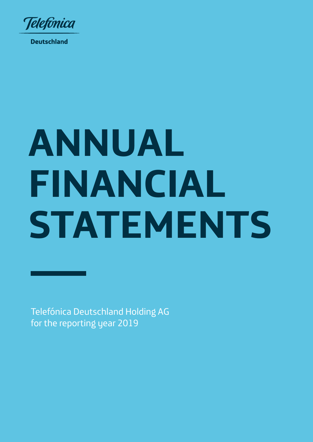

**Deutschland** 

# **ANNUAL FINANCIAL STATEMENTS**

Telefónica Deutschland Holding AG for the reporting year 2019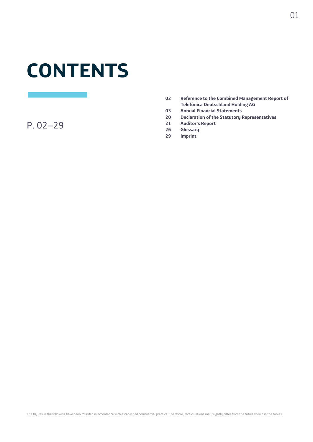# **CONTENTS**

P. 02–29

- **02 Reference to the Combined Management Report of Telefónica Deutschland Holding AG**
- **03 Annual Financial Statements**
- **20 Declaration of the Statutory Representatives**
- **21 Auditor's Report**
- **26 Glossary**
- **29 Imprint**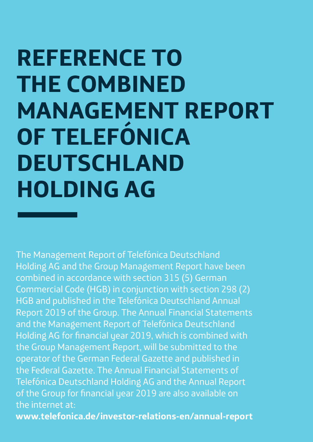# **REFERENCE TO THE COMBINED MANAGEMENT REPORT OF TELEFÓNICA DEUTSCHLAND HOLDING AG**

The Management Report of Telefónica Deutschland Holding AG and the Group Management Report have been combined in accordance with section 315 (5) German Commercial Code (HGB) in conjunction with section 298 (2) HGB and published in the Telefónica Deutschland Annual Report 2019 of the Group. The Annual Financial Statements and the Management Report of Telefónica Deutschland Holding AG for financial year 2019, which is combined with the Group Management Report, will be submitted to the operator of the German Federal Gazette and published in the Federal Gazette. The Annual Financial Statements of Telefónica Deutschland Holding AG and the Annual Report of the Group for financial year 2019 are also available on the internet at:

**www.telefonica.de/investor-relations-en/annual-report**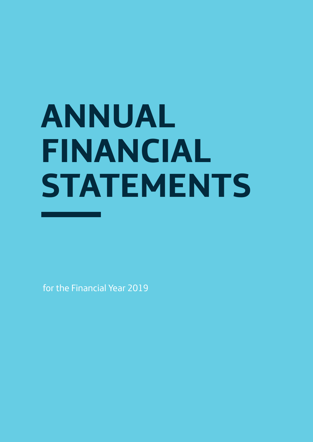# **ANNUAL FINANCIAL STATEMENTS**

for the Financial Year 2019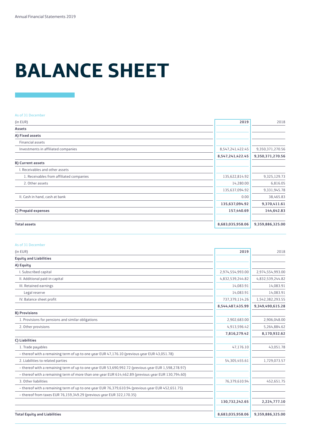# **BALANCE SHEET**

#### As of 31 December

| (in EUR)                                 | 2019                 | 2018             |
|------------------------------------------|----------------------|------------------|
| <b>Assets</b>                            |                      |                  |
| A) Fixed assets                          |                      |                  |
| Financial assets                         |                      |                  |
| Investments in affiliated companies      | 8,547,241,422.45     | 9,350,371,270.56 |
|                                          | 8, 547, 241, 422. 45 | 9,350,371,270.56 |
| <b>B) Current assets</b>                 |                      |                  |
| l. Receivables and other assets          |                      |                  |
| 1. Receivables from affiliated companies | 135,622,814.92       | 9,325,129.73     |
| 2. Other assets                          | 14,280.00            | 6,816.05         |
|                                          | 135,637,094.92       | 9,331,945.78     |
| II. Cash in hand, cash at bank           | 0.00                 | 38,465.83        |
|                                          | 135,637,094.92       | 9,370,411.61     |
| C) Prepaid expenses                      | 157,440.69           | 144,642.83       |
| <b>Total assets</b>                      | 8,683,035,958.06     | 9,359,886,325.00 |

#### As of 31 December

| (in EUR)                                                                                             | 2019             | 2018             |
|------------------------------------------------------------------------------------------------------|------------------|------------------|
| <b>Equity and Liabilities</b>                                                                        |                  |                  |
| A) Equity                                                                                            |                  |                  |
| I. Subscribed capital                                                                                | 2,974,554,993.00 | 2,974,554,993.00 |
| II. Additional paid-in capital                                                                       | 4,832,539,244.82 | 4,832,539,244.82 |
| III. Retained earnings                                                                               | 14,083.91        | 14,083.91        |
| Legal reserve                                                                                        | 14,083.91        | 14,083.91        |
| IV. Balance sheet profit                                                                             | 737,379,114.26   | 1,542,382,293.55 |
|                                                                                                      | 8,544,487,435.99 | 9,349,490,615.28 |
| <b>B) Provisions</b>                                                                                 |                  |                  |
| 1. Provisions for pensions and similar obligations                                                   | 2,902,683.00     | 2,906,048.00     |
| 2. Other provisions                                                                                  | 4,913,596.42     | 5,264,884.62     |
|                                                                                                      | 7,816,279.42     | 8,170,932.62     |
| C) Liabilities                                                                                       |                  |                  |
| 1. Trade payables                                                                                    | 47.176.10        | 43,051.78        |
| - thereof with a remaining term of up to one year EUR 47,176.10 (previous year EUR 43,051.78)        |                  |                  |
| 2. Liabilities to related parties                                                                    | 54,305,455.61    | 1,729,073.57     |
| - thereof with a remaining term of up to one year EUR 53,690,992.72 (previous year EUR 1,598,278.97) |                  |                  |
| - thereof with a remaining term of more than one year EUR 614,462.89 (previous year EUR 130,794.60)  |                  |                  |
| 3. Other liabilities                                                                                 | 76,379,610.94    | 452,651.75       |
| - thereof with a remaining term of up to one year EUR 76,379,610.94 (previous year EUR 452,651.75)   |                  |                  |
| - thereof from taxes EUR 76,159,349.29 (previous year EUR 322,170.35)                                |                  |                  |
|                                                                                                      | 130,732,242.65   | 2,224,777.10     |
| <b>Total Equity and Liabilities</b>                                                                  | 8,683,035,958.06 | 9,359,886,325.00 |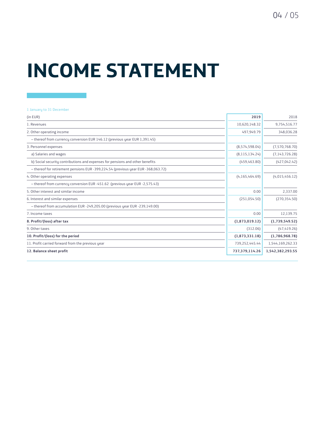### **INCOME STATEMENT**

#### 1 January to 31 December

| (in EUR)                                                                          | 2019             | 2018             |
|-----------------------------------------------------------------------------------|------------------|------------------|
| 1. Revenues                                                                       | 10,620,148.32    | 9,754,516.77     |
| 2. Other operating income                                                         | 497,949.79       | 348,036.28       |
| - thereof from currency conversion EUR 146.12 (previous year EUR 1,391.45)        |                  |                  |
| 3. Personnel expenses                                                             | (8,574,598.04)   | (7,570,768.70)   |
| a) Salaries and wages                                                             | (8, 115, 134.24) | (7, 143, 726.28) |
| b) Social security contributions and expenses for pensions and other benefits     | (459, 463.80)    | (427, 042.42)    |
| - thereof for retirement pensions EUR -399,224.54 (previous year EUR -368,063.72) |                  |                  |
| 4. Other operating expenses                                                       | (4, 165, 464.69) | (4,015,456.12)   |
| - thereof from currency conversion EUR -451.62 (previous year EUR -2,575.43)      |                  |                  |
| 5. Other interest and similar income                                              | 0.00             | 2,337.00         |
| 6. Interest and similar expenses                                                  | (251,054.50)     | (270, 354, 50)   |
| - thereof from accumulation EUR -249,205.00 (previous year EUR -239,149.00)       |                  |                  |
| 7. Income taxes                                                                   | 0.00             | 12,139.75        |
| 8. Profit/(loss) after tax                                                        | (1,873,019.12)   | (1,739,549.52)   |
| 9. Other taxes                                                                    | (312.06)         | (47, 419.26)     |
| 10. Profit/(loss) for the period                                                  | (1,873,331.18)   | (1,786,968.78)   |
| 11. Profit carried forward from the previous year                                 | 739,252,445.44   | 1,544,169,262.33 |
| 12. Balance sheet profit                                                          | 737,379,114.26   | 1,542,382,293.55 |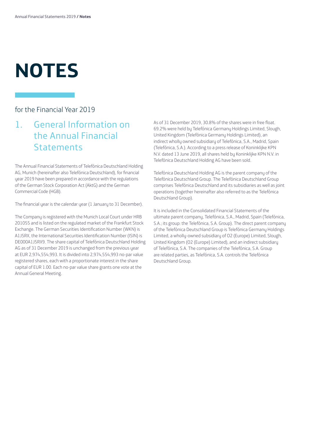# **NOTES**

### for the Financial Year 2019

### 1. General Information on the Annual Financial **Statements**

The Annual Financial Statements of Telefónica Deutschland Holding AG, Munich (hereinafter also Telefónica Deutschland), for financial year 2019 have been prepared in accordance with the regulations of the German Stock Corporation Act (AktG) and the German Commercial Code (HGB).

The financial year is the calendar year (1 January to 31 December).

The Company is registered with the Munich Local Court under HRB 201055 and is listed on the regulated market of the Frankfurt Stock Exchange. The German Securities Identification Number (WKN) is A1J5RX, the International Securities Identification Number (ISIN) is DE000A1J5RX9. The share capital of Telefónica Deutschland Holding AG as of 31 December 2019 is unchanged from the previous year at EUR 2,974,554,993. It is divided into 2,974,554,993 no-par value registered shares, each with a proportionate interest in the share capital of EUR 1.00. Each no-par value share grants one vote at the Annual General Meeting.

As of 31 December 2019, 30.8% of the shares were in free float. 69.2% were held by Telefónica Germany Holdings Limited, Slough, United Kingdom (Telefónica Germany Holdings Limited), an indirect wholly owned subsidiary of Telefónica, S.A., Madrid, Spain (Telefónica, S.A.). According to a press release of Koninklijke KPN N.V. dated 13 June 2019, all shares held by Koninklijke KPN N.V. in Telefónica Deutschland Holding AG have been sold.

Telefónica Deutschland Holding AG is the parent company of the Telefónica Deutschland Group. The Telefónica Deutschland Group comprises Telefónica Deutschland and its subsidiaries as well as joint operations (together hereinafter also referred to as the Telefónica Deutschland Group).

It is included in the Consolidated Financial Statements of the ultimate parent company, Telefónica, S.A., Madrid, Spain (Telefónica, S.A.; its group: the Telefónica, S.A. Group). The direct parent company of the Telefónica Deutschland Group is Telefónica Germany Holdings Limited, a wholly-owned subsidiary of O2 (Europe) Limited, Slough, United Kingdom (O2 (Europe) Limited), and an indirect subsidiary of Telefónica, S.A. The companies of the Telefónica, S.A. Group are related parties, as Telefónica, S.A. controls the Telefónica Deutschland Group.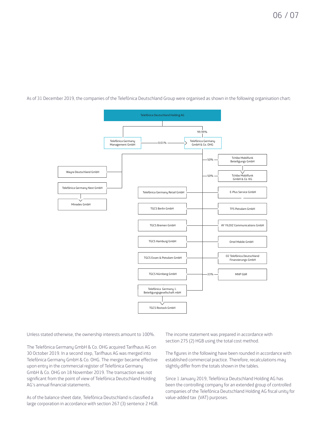As of 31 December 2019, the companies of the Telefónica Deutschland Group were organised as shown in the following organisation chart:



Unless stated otherwise, the ownership interests amount to 100%.

The Telefónica Germany GmbH & Co. OHG acquired Tarifhaus AG on 30 October 2019. In a second step, Tarifhaus AG was merged into Telefónica Germany GmbH & Co. OHG. The merger became effective upon entry in the commercial register of Telefónica Germany GmbH & Co. OHG on 18 November 2019. The transaction was not significant from the point of view of Telefónica Deutschland Holding AG's annual financial statements.

As of the balance sheet date, Telefónica Deutschland is classified a large corporation in accordance with section 267 (3) sentence 2 HGB. The income statement was prepared in accordance with section 275 (2) HGB using the total cost method.

The figures in the following have been rounded in accordance with established commercial practice. Therefore, recalculations may slightly differ from the totals shown in the tables.

Since 1 January 2019, Telefónica Deutschland Holding AG has been the controlling company for an extended group of controlled companies of the Telefónica Deutschland Holding AG fiscal unity for value-added tax (VAT) purposes.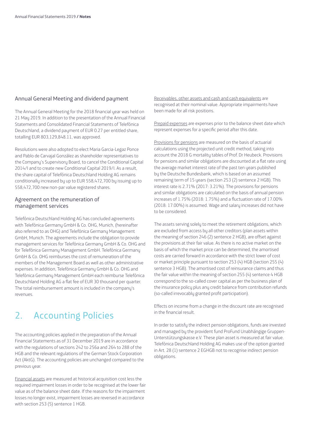#### Annual General Meeting and dividend payment

The Annual General Meeting for the 2018 financial year was held on 21 May 2019. In addition to the presentation of the Annual Financial Statements and Consolidated Financial Statements of Telefónica Deutschland, a dividend payment of EUR 0.27 per entitled share, totalling EUR 803,129,848.11, was approved.

Resolutions were also adopted to elect Maria Garcia-Legaz Ponce and Pablo de Carvajal González as shareholder representatives to the Company's Supervisory Board, to cancel the Conditional Capital 2014/I and to create new Conditional Capital 2019/I. As a result, the share capital of Telefónica Deutschland Holding AG remains conditionally increased by up to EUR 558,472,700 by issuing up to 558,472,700 new non-par value registered shares.

#### Agreement on the remuneration of management services

Telefónica Deutschland Holding AG has concluded agreements with Telefónica Germany GmbH & Co. OHG, Munich, (hereinafter also referred to as OHG) and Telefónica Germany Management GmbH, Munich. The agreements include the obligation to provide management services for Telefónica Germany GmbH & Co. OHG and for Telefónica Germany Management GmbH. Telefónica Germany GmbH & Co. OHG reimburses the cost of remuneration of the members of the Management Board as well as other administrative expenses. In addition, Telefónica Germany GmbH & Co. OHG and Telefónica Germany Management GmbH each reimburse Telefónica Deutschland Holding AG a flat fee of EUR 30 thousand per quarter. The total reimbursement amount is included in the company's revenues.

### 2. Accounting Policies

The accounting policies applied in the preparation of the Annual Financial Statements as of 31 December 2019 are in accordance with the regulations of sections 242 to 256a and 264 to 288 of the HGB and the relevant regulations of the German Stock Corporation Act (AktG). The accounting policies are unchanged compared to the previous year.

Financial assets are measured at historical acquisition cost less the required impairment losses in order to be recognised at the lower fair value as of the balance sheet date. If the reasons for the impairment losses no longer exist, impairment losses are reversed in accordance with section 253 (5) sentence 1 HGB.

Receivables, other assets and cash and cash equivalents are recognised at their nominal value. Appropriate impairments have been made for all risk positions.

Prepaid expenses are expenses prior to the balance sheet date which represent expenses for a specific period after this date.

Provisions for pensions are measured on the basis of actuarial calculations using the projected unit credit method, taking into account the 2018 G mortality tables of Prof. Dr Heubeck. Provisions for pensions and similar obligations are discounted at a flat rate using the average market interest rate of the past ten years published by the Deutsche Bundesbank, which is based on an assumed remaining term of 15 years (section 253 (2) sentence 2 HGB). This interest rate is 2.71% (2017: 3.21%). The provisions for pensions and similar obligations are calculated on the basis of annual pension increases of 1.75% (2018: 1.75%) and a fluctuation rate of 17.00% (2018: 17.00%) is assumed. Wage and salary increases did not have to be considered.

The assets serving solely to meet the retirement obligations, which are excluded from access by all other creditors (plan assets within the meaning of section 246 (2) sentence 2 HGB), are offset against the provisions at their fair value. As there is no active market on the basis of which the market price can be determined, the amortised costs are carried forward in accordance with the strict lower of cost or market principle pursuant to section 253 (4) HGB (section 255 (4) sentence 3 HGB). The amortised cost of reinsurance claims and thus the fair value within the meaning of section 255 (4) sentence 4 HGB correspond to the so-called cover capital as per the business plan of the insurance policy plus any credit balance from contribution refunds (so-called irrevocably granted profit participation).

Effects on income from a change in the discount rate are recognised in the financial result.

In order to satisfy the indirect pension obligations, funds are invested and managed by the provident fund ProFund Unabhängige Gruppen-Unterstützungskasse e.V. These plan asset is measured at fair value. Telefónica Deutschland Holding AG makes use of the option granted in Art. 28 (1) sentence 2 EGHGB not to recognise indirect pension obligations.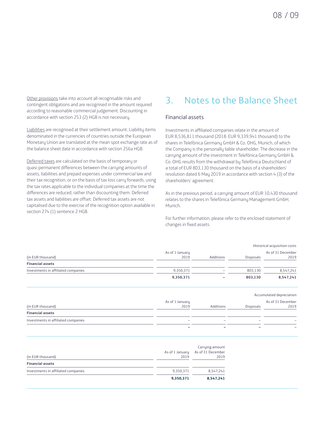Other provisions take into account all recognisable risks and contingent obligations and are recognised in the amount required according to reasonable commercial judgement. Discounting in accordance with section 253 (2) HGB is not necessary.

Liabilities are recognised at their settlement amount. Liability items denominated in the currencies of countries outside the European Monetary Union are translated at the mean spot exchange rate as of the balance sheet date in accordance with section 256a HGB.

Deferred taxes are calculated on the basis of temporary or quasi-permanent differences between the carrying amounts of assets, liabilities and prepaid expenses under commercial law and their tax recognition, or on the basis of tax loss carry forwards, using the tax rates applicable to the individual companies at the time the differences are reduced, rather than discounting them. Deferred tax assets and liabilities are offset. Deferred tax assets are not capitalised due to the exercise of the recognition option available in section 274 (1) sentence 2 HGB.

### 3. Notes to the Balance Sheet

#### Financial assets

Investments in affiliated companies relate in the amount of EUR 8,536,811 thousand (2018: EUR 9,339,941 thousand) to the shares in Telefónica Germany GmbH & Co. OHG, Munich, of which the Company is the personally liable shareholder. The decrease in the carrying amount of the investment in Telefónica Germany GmbH & Co. OHG results from the withdrawal by Telefónica Deutschland of a total of EUR 803,130 thousand on the basis of a shareholders' resolution dated 6 May 2019 in accordance with section 4 (3) of the shareholders' agreement.

As in the previous period, a carrying amount of EUR 10,430 thousand relates to the shares in Telefónica Germany Management GmbH, Munich.

For further information, please refer to the enclosed statement of changes in fixed assets.

| Historical acquisition costs |                          |                  |                   |
|------------------------------|--------------------------|------------------|-------------------|
| As of 1 January              |                          |                  | As of 31 December |
| 2019                         | Additions                | <b>Disposals</b> | 2019              |
|                              |                          |                  |                   |
| 9,350,371                    | $\overline{\phantom{0}}$ | 803.130          | 8,547,241         |
| 9,350,371                    | $\overline{\phantom{a}}$ | 803.130          | 8,547,241         |
|                              |                          |                  |                   |

|                                     |                          |                          | Accumulated depreciation |                           |
|-------------------------------------|--------------------------|--------------------------|--------------------------|---------------------------|
| (in EUR thousand)                   | As of 1 January<br>2019  | Additions                | <b>Disposals</b>         | As of 31 December<br>2019 |
| <b>Financial assets</b>             |                          |                          |                          |                           |
| Investments in affiliated companies | $\overline{\phantom{a}}$ | $\overline{\phantom{a}}$ | -                        |                           |
|                                     |                          |                          |                          |                           |

| (in EUR thousand)                   | As of 1 January<br>2019 | Carrying amount<br>As of 31 December<br>2019 |
|-------------------------------------|-------------------------|----------------------------------------------|
| <b>Financial assets</b>             |                         |                                              |
| Investments in affiliated companies | 9,350,371               | 8,547,241                                    |
|                                     | 9,350,371               | 8,547,241                                    |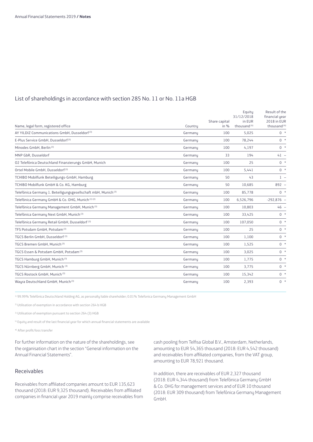#### List of shareholdings in accordance with section 285 No. 11 or No. 11a HGB

| Name, legal form, registered office                                       | Country | Share capital<br>in $%$ | Equity<br>31/12/2018<br>in EUR<br>thousand <sup>(4)</sup> | Result of the<br>financial year<br>2018 in EUR<br>thousand <sup>(4)</sup> |
|---------------------------------------------------------------------------|---------|-------------------------|-----------------------------------------------------------|---------------------------------------------------------------------------|
| AY YILDIZ Communications GmbH, Dusseldorf <sup>(3)</sup>                  | Germanu | 100                     | 5,025                                                     | $0 *$                                                                     |
| E-Plus Service GmbH, Dusseldorf <sup>(3)</sup>                            | Germanu | 100                     | 78,244                                                    | $0 *$                                                                     |
| Minodes GmbH. Berlin <sup>(3)</sup>                                       | Germany | 100                     | 4,197                                                     | $0 *$                                                                     |
| MNP GbR, Dusseldorf                                                       | Germanu | 33                      | 194                                                       | $41 -$                                                                    |
| 02 Telefónica Deutschland Finanzierungs GmbH, Munich                      | Germanu | 100                     | 25                                                        | $0 *$                                                                     |
| Ortel Mobile GmbH. Dusseldorf <sup>(3)</sup>                              | Germanu | 100                     | 5,441                                                     | $0 *$                                                                     |
| TCHIBO Mobilfunk Beteiligungs-GmbH, Hamburg                               | Germanu | 50                      | 43                                                        | $1 -$                                                                     |
| TCHIBO Mobilfunk GmbH & Co. KG, Hamburg                                   | Germany | 50                      | 10,685                                                    | $892 -$                                                                   |
| Telefónica Germany 1. Beteiligungsgesellschaft mbH, Munich <sup>(3)</sup> | Germanu | 100                     | 85,778                                                    | $0 *$                                                                     |
| Telefónica Germany GmbH & Co. OHG, Munich (1) (2)                         | Germanu | 100                     | 6,526,796                                                 | $-292,876 -$                                                              |
| Telefónica Germany Management GmbH, Munich <sup>(3)</sup>                 | Germanu | 100                     | 10,803                                                    | $46 -$                                                                    |
| Telefónica Germany Next GmbH, Munich <sup>(3)</sup>                       | Germany | 100                     | 33,425                                                    | $0 *$                                                                     |
| Telefónica Germany Retail GmbH, Dusseldorf <sup>(3)</sup>                 | Germany | 100                     | 107,050                                                   | $0 *$                                                                     |
| TFS Potsdam GmbH, Potsdam <sup>(3)</sup>                                  | Germanu | 100                     | 25                                                        | $0 *$                                                                     |
| TGCS Berlin GmbH. Dusseldorf (3)                                          | Germanu | 100                     | 1,100                                                     | $0 *$                                                                     |
| TGCS Bremen GmbH. Munich (3)                                              | Germany | 100                     | 1,525                                                     | $0 *$                                                                     |
| TGCS Essen & Potsdam GmbH, Potsdam <sup>(3)</sup>                         | Germanu | 100                     | 3,025                                                     | $0 *$                                                                     |
| TGCS Hamburg GmbH, Munich (3)                                             | Germany | 100                     | 1,775                                                     | $0 *$                                                                     |
| TGCS Nürnberg GmbH, Munich (3)                                            | Germanu | 100                     | 3,775                                                     | $0 *$                                                                     |
| TGCS Rostock GmbH, Munich (3)                                             | Germanu | 100                     | 15,342                                                    | $0 *$                                                                     |
| Wayra Deutschland GmbH, Munich (3)                                        | Germany | 100                     | 2,393                                                     | $0 *$                                                                     |

1) 99.99% Telefónica Deutschland Holding AG, as personally liable shareholder; 0.01% Telefonica Germany Management GmbH

2) Utilisation of exemption in accordance with section 264 b HGB

<sup>3)</sup> Utilisation of exemption pursuant to section 264 (3) HGB

4) Equity and result of the last financial year for which annual financial statements are available

\*) After profit/loss transfer

For further information on the nature of the shareholdings, see the organisation chart in the section "General information on the Annual Financial Statements".

#### Receivables

Receivables from affiliated companies amount to EUR 135,623 thousand (2018: EUR 9,325 thousand). Receivables from affiliated companies in financial year 2019 mainly comprise receivables from cash pooling from Telfisa Global B.V., Amsterdam, Netherlands, amounting to EUR 54,365 thousand (2018: EUR 4,542 thousand) and receivables from affiliated companies, from the VAT group, amounting to EUR 78,921 thousand.

In addition, there are receivables of EUR 2,327 thousand (2018: EUR 4,344 thousand) from Telefónica Germany GmbH & Co. OHG for management services and of EUR 10 thousand (2018: EUR 309 thousand) from Telefónica Germany Management GmbH.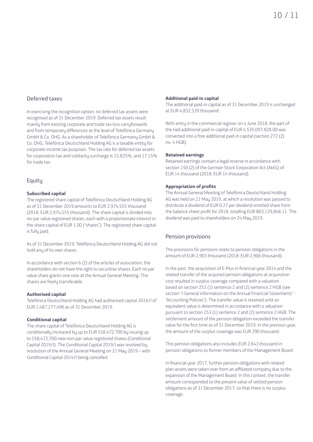#### Deferred taxes

In exercising the recognition option, no deferred tax assets were recognised as of 31 December 2019. Deferred tax assets result mainly from existing corporate and trade tax loss carryforwards and from temporary differences at the level of Telefónica Germany GmbH & Co. OHG. As a shareholder of Telefónica Germany GmbH & Co. OHG, Telefónica Deutschland Holding AG is a taxable entity for corporate income tax purposes. The tax rate for deferred tax assets for corporation tax and solidarity surcharge is 15.825%, and 17.15% for trade tax.

#### Equity

#### **Subscribed capital**

The registered share capital of Telefónica Deutschland Holding AG as of 31 December 2019 amounts to EUR 2,974,555 thousand (2018: EUR 2,974,555 thousand). The share capital is divided into no-par value registered shares, each with a proportionate interest in the share capital of EUR 1.00 ("shares"). The registered share capital is fully paid.

As of 31 December 2019, Telefónica Deutschland Holding AG did not hold any of its own shares.

In accordance with section 6 (2) of the articles of association, the shareholders do not have the right to securitise shares. Each no par value share grants one vote at the Annual General Meeting. The shares are freely transferable.

#### **Authorised capital**

Telefónica Deutschland Holding AG had authorised capital 2016/I of EUR 1,487,277,496 as of 31 December 2019.

#### **Conditional capital**

The share capital of Telefónica Deutschland Holding AG is conditionally increased by up to EUR 558,472,700 by issuing up to 558,472,700 new non-par value registered shares (Conditional Capital 2019/I). The Conditional Capital 2019/I was resolved by resolution of the Annual General Meeting on 21 May 2019 – with Conditional Capital 2014/I being cancelled.

#### **Additional paid-in capital**

The additional paid-in capital as of 31 December 2019 is unchanged at EUR 4,832,539 thousand.

With entry in the commercial register on 4 June 2018, the part of the tied additional paid-in capital of EUR 4,535,097,828.00 was converted into a free additional paid-in capital (section 272 (2) no. 4 HGB).

#### **Retained earnings**

Retained earnings contain a legal reserve in accordance with section 150 (2) of the German Stock Corporation Act (AktG) of EUR 14 thousand (2018: EUR 14 thousand).

#### **Appropriation of profits**

The Annual General Meeting of Telefónica Deutschland Holding AG was held on 21 May 2019, at which a resolution was passed to distribute a dividend of EUR 0.27 per dividend-entitled share from the balance sheet profit for 2018, totalling EUR 803,129,848.11. The dividend was paid to shareholders on 24 May 2019.

#### Pension provisions

The provisions for pensions relate to pension obligations in the amount of EUR 2,903 thousand (2018: EUR 2,906 thousand).

In the past, the acquisition of E-Plus in financial year 2014 and the related transfer of the acquired pension obligations at acquisition cost resulted in surplus coverage compared with a valuation based on section 253 (1) sentence 2 and (2) sentence 2 HGB (see section "I General information on the Annual Financial Statements" - "Accounting Policies"). The transfer value is retained until an equivalent value is determined in accordance with a valuation pursuant to section 253 (1) sentence 2 and (2) sentence 2 HGB. The settlement amount of the pension obligation exceeded the transfer value for the first time as of 31 December 2019. In the previous year, the amount of the surplus coverage was EUR 290 thousand.

This pension obligations also includes EUR 2,643 thousand in pension obligations to former members of the Management Board.

In financial year 2017, further pension obligations with related plan assets were taken over from an affiliated company due to the expansion of the Management Board. In this context, the transfer amount corresponded to the present value of settled pension obligations as of 31 December 2017, so that there is no surplus coverage.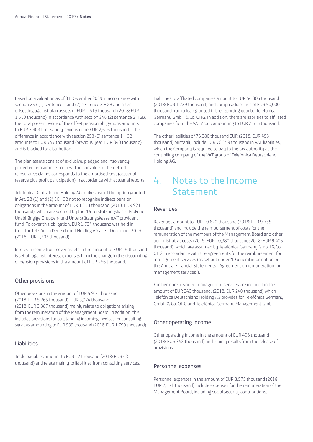Based on a valuation as of 31 December 2019 in accordance with section 253 (1) sentence 2 and (2) sentence 2 HGB and after offsetting against plan assets of EUR 1,619 thousand (2018: EUR 1,510 thousand) in accordance with section 246 (2) sentence 2 HGB, the total present value of the offset pension obligations amounts to EUR 2,903 thousand (previous year: EUR 2,616 thousand). The difference in accordance with section 253 (6) sentence 1 HGB amounts to EUR 747 thousand (previous year: EUR 840 thousand) and is blocked for distribution.

The plan assets consist of exclusive, pledged and insolvencyprotected reinsurance policies. The fair value of the netted reinsurance claims corresponds to the amortised cost (actuarial reserve plus profit participation) in accordance with actuarial reports.

Telefónica Deutschland Holding AG makes use of the option granted in Art. 28 (1) and (2) EGHGB not to recognise indirect pension obligations in the amount of EUR 1,153 thousand (2018: EUR 921 thousand), which are secured by the "Unterstützungskasse ProFund Unabhängige Gruppen- und Unterstützungskasse e.V." provident fund. To cover this obligation, EUR 1,734 thousand was held in trust for Telefónica Deutschland Holding AG at 31 December 2019 (2018: EUR 1,203 thousand).

Interest income from cover assets in the amount of EUR 16 thousand is set off against interest expenses from the change in the discounting of pension provisions in the amount of EUR 266 thousand.

#### Other provisions

Other provisions in the amount of EUR 4,914 thousand (2018: EUR 5,265 thousand), EUR 3,974 thousand (2018: EUR 3,387 thousand) mainly relate to obligations arising from the remuneration of the Management Board. In addition, this includes provisions for outstanding incoming invoices for consulting services amounting to EUR 939 thousand (2018: EUR 1,790 thousand).

#### Liabilities

Trade payables amount to EUR 47 thousand (2018: EUR 43 thousand) and relate mainly to liabilities from consulting services. Liabilities to affiliated companies amount to EUR 54,305 thousand (2018: EUR 1,729 thousand) and comprise liabilities of EUR 50,000 thousand from a loan granted in the reporting year by Telefónica Germany GmbH & Co. OHG. In addition, there are liabilities to affiliated companies from the VAT group amounting to EUR 2,515 thousand.

The other liabilities of 76,380 thousand EUR (2018: EUR 453 thousand) primarily include EUR 76,159 thousand in VAT liabilities, which the Company is required to pay to the tax authority as the controlling company of the VAT group of Telefónica Deutschland Holding AG.

### 4. Notes to the Income Statement

#### Revenues

Revenues amount to EUR 10,620 thousand (2018: EUR 9,755 thousand) and include the reimbursement of costs for the remuneration of the members of the Management Board and other administrative costs (2019: EUR 10,380 thousand; 2018: EUR 9,405 thousand), which are assumed by Telefónica Germany GmbH & Co. OHG in accordance with the agreements for the reimbursement for management services (as set out under "I. General information on the Annual Financial Statements - Agreement on remuneration for management services").

Furthermore, invoiced management services are included in the amount of EUR 240 thousand, (2018: EUR 240 thousand) which Telefónica Deutschland Holding AG provides for Telefónica Germany GmbH & Co. OHG and Telefónica Germany Management GmbH.

#### Other operating income

Other operating income in the amount of EUR 498 thousand (2018: EUR 348 thousand) and mainly results from the release of provisions.

#### Personnel expenses

Personnel expenses in the amount of EUR 8,575 thousand (2018: EUR 7,571 thousand) include expenses for the remuneration of the Management Board, including social security contributions.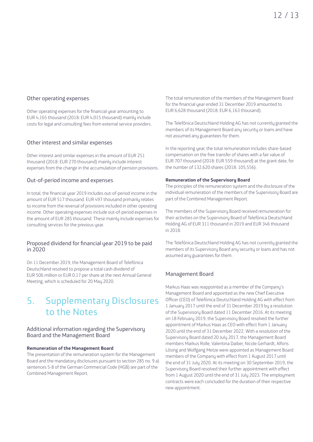#### Other operating expenses

Other operating expenses for the financial year amounting to EUR 4,165 thousand (2018: EUR 4,015 thousand) mainly include costs for legal and consulting fees from external service providers.

#### Other interest and similar expenses

Other interest and similar expenses in the amount of EUR 251 thousand (2018: EUR 270 thousand) mainly include interest expenses from the change in the accumulation of pension provisions.

#### Out-of-period income and expenses

In total, the financial year 2019 includes out-of-period income in the amount of EUR 517 thousand. EUR 497 thousand primarily relates to income from the reversal of provisions included in other operating income. Other operating expenses include out-of-period expenses in the amount of EUR 285 thousand. These mainly include expenses for consulting services for the previous year.

#### Proposed dividend for financial year 2019 to be paid  $in 2020$

On 11 December 2019, the Management Board of Telefónica Deutschland resolved to propose a total cash dividend of EUR 506 million or EUR 0.17 per share at the next Annual General Meeting, which is scheduled for 20 May 2020.

### 5. Supplementary Disclosures to the Notes

#### Additional information regarding the Supervisory Board and the Management Board

#### **Remuneration of the Management Board**

The presentation of the remuneration system for the Management Board and the mandatory disclosures pursuant to section 285 no. 9 a) sentences 5-8 of the German Commercial Code (HGB) are part of the Combined Management Report.

The total remuneration of the members of the Management Board for the financial year ended 31 December 2019 amounted to EUR 6,628 thousand (2018: EUR 6,163 thousand).

The Telefónica Deutschland Holding AG has not currently granted the members of its Management Board any security or loans and have not assumed any guarantees for them.

In the reporting year, the total remuneration includes share-based compensation on the free transfer of shares with a fair value of EUR 707 thousand (2018: EUR 559 thousand) at the grant date, for the number of 132,620 shares (2018: 105,556).

#### **Remuneration of the Supervisory Board**

The principles of the remuneration system and the disclosure of the individual remuneration of the members of the Supervisory Board are part of the Combined Management Report.

The members of the Supervisory Board received remuneration for their activities on the Supervisory Board of Telefónica Deutschland Holding AG of EUR 311 thousand in 2019 and EUR 346 thousand in 2018.

The Telefónica Deutschland Holding AG has not currently granted the members of its Supervisory Board any security or loans and has not assumed any guarantees for them.

#### Management Board

Markus Haas was reappointed as a member of the Company's Management Board and appointed as the new Chief Executive Officer (CEO) of Telefónica Deutschland Holding AG with effect from 1 January 2017 until the end of 31 December 2019 by a resolution of the Supervisory Board dated 11 December 2016. At its meeting on 18 February 2019, the Supervisory Board resolved the further appointment of Markus Haas as CEO with effect from 1 January 2020 until the end of 31 December 2022. With a resolution of the Supervisory Board dated 20 July 2017, the Management Board members Markus Rolle, Valentina Daiber, Nicole Gerhardt, Alfons Lösing and Wolfgang Metze were appointed as Management Board members of the Company with effect from 1 August 2017 until the end of 31 July 2020. At its meeting on 30 September 2019, the Supervisory Board resolved their further appointment with effect from 1 August 2020 until the end of 31 July 2023. The employment contracts were each concluded for the duration of their respective new appointment.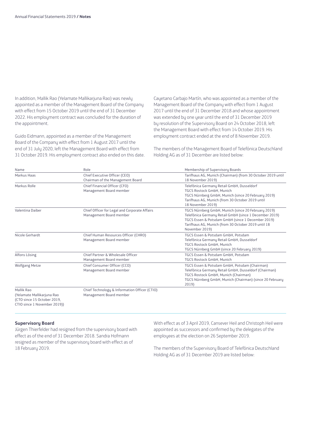In addition, Mallik Rao (Yelamate Mallikarjuna Rao) was newly appointed as a member of the Management Board of the Company with effect from 15 October 2019 until the end of 31 December 2022. His employment contract was concluded for the duration of the appointment.

Guido Eidmann, appointed as a member of the Management Board of the Company with effect from 1 August 2017 until the end of 31 July 2020, left the Management Board with effect from 31 October 2019. His employment contract also ended on this date. Cayetano Carbajo Martín, who was appointed as a member of the Management Board of the Company with effect from 1 August 2017 until the end of 31 December 2018 and whose appointment was extended by one year until the end of 31 December 2019 by resolution of the Supervisory Board on 24 October 2018, left the Management Board with effect from 14 October 2019. His employment contract ended at the end of 8 November 2019.

The members of the Management Board of Telefónica Deutschland Holding AG as of 31 December are listed below:

| Name                                                                                                    | Role                                                                     | Membership of Supervisory Boards                                                                                                                                                                                                            |
|---------------------------------------------------------------------------------------------------------|--------------------------------------------------------------------------|---------------------------------------------------------------------------------------------------------------------------------------------------------------------------------------------------------------------------------------------|
| Markus Haas                                                                                             | Chief Executive Officer (CEO)<br>Chairman of the Management Board        | Tarifhaus AG, Munich (Chairman) (from 30 October 2019 until<br>18 November 2019)                                                                                                                                                            |
| Markus Rolle                                                                                            | Chief Financial Officer (CFO)<br>Management Board member                 | Telefónica Germany Retail GmbH, Dusseldorf<br>TGCS Rostock GmbH, Munich<br>TGCS Nürnberg GmbH, Munich (since 20 February 2019)<br>Tarifhaus AG, Munich (from 30 October 2019 until<br>18 November 2019)                                     |
| Valentina Daiber                                                                                        | Chief Officer for Legal and Corporate Affairs<br>Management Board member | TGCS Nürnberg GmbH, Munich (since 20 February 2019)<br>Telefónica Germany Retail GmbH (since 1 December 2019)<br>TGCS Essen & Potsdam GmbH (since 1 December 2019)<br>Tarifhaus AG, Munich (from 30 October 2019 until 18<br>November 2019) |
| Nicole Gerhardt                                                                                         | Chief Human Resources Officer (CHRO)<br>Management Board member          | TGCS Essen & Potsdam GmbH, Potsdam<br>Telefónica Germany Retail GmbH, Dusseldorf<br>TGCS Rostock GmbH, Munich<br>TGCS Nürnberg GmbH (since 20 February 2019)                                                                                |
| Alfons Lösing                                                                                           | Chief Partner & Wholesale Officer<br>Management Board member             | TGCS Essen & Potsdam GmbH, Potsdam<br><b>TGCS Rostock GmbH. Munich</b>                                                                                                                                                                      |
| Wolfgang Metze                                                                                          | Chief Consumer Officer (CCO)<br>Management Board member                  | TGCS Essen & Potsdam GmbH, Potsdam (Chairman)<br>Telefónica Germany Retail GmbH, Dusseldorf (Chairman)<br>TGCS Rostock GmbH, Munich (Chairman)<br>TGCS Nürnberg GmbH, Munich (Chairman) (since 20 February<br>2019)                         |
| Mallik Rao<br>(Yelamate Mallikarjuna Rao<br>(CTO since 15 October 2019,<br>CTIO since 1 November 2019)) | Chief Technology & Information Officer (CTIO)<br>Management Board member |                                                                                                                                                                                                                                             |

#### **Supervisory Board**

Jürgen Thierfelder had resigned from the supervisory board with effect as of the end of 31 December 2018. Sandra Hofmann resigned as member of the supervisory board with effect as of 18 February 2019.

With effect as of 3 April 2019, Cansever Heil and Christoph Heil were appointed as successors and confirmed by the delegates of the employees at the election on 26 September 2019.

The members of the Supervisory Board of Telefónica Deutschland Holding AG as of 31 December 2019 are listed below: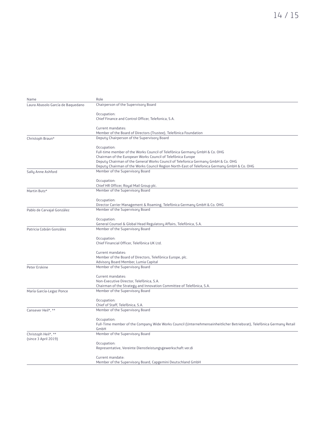| Name                              | Role                                                                                                                                      |
|-----------------------------------|-------------------------------------------------------------------------------------------------------------------------------------------|
| Laura Abasolo García de Baquedano | Chairperson of the Supervisory Board                                                                                                      |
|                                   | Occupation:                                                                                                                               |
|                                   | Chief Finance and Control Officer, Telefonica, S.A.                                                                                       |
|                                   |                                                                                                                                           |
|                                   | Current mandates:                                                                                                                         |
|                                   | Member of the Board of Directors (Trustee), Telefónica Foundation                                                                         |
| Christoph Braun*                  | Deputy Chairperson of the Supervisory Board                                                                                               |
|                                   |                                                                                                                                           |
|                                   | Occupation:                                                                                                                               |
|                                   | Full-time member of the Works Council of Telefónica Germany GmbH & Co. OHG<br>Chairman of the European Works Council of Telefónica Europe |
|                                   | Deputy Chairman of the General Works Council of Telefonica Germany GmbH & Co. OHG                                                         |
|                                   | Deputy Chairman of the Works Council Region North-East of Telefonica Germany GmbH & Co. OHG                                               |
| Sally Anne Ashford                | Member of the Supervisory Board                                                                                                           |
|                                   |                                                                                                                                           |
|                                   | Occupation:                                                                                                                               |
|                                   | Chief HR Officer, Royal Mail Group plc.<br>Member of the Supervisory Board                                                                |
| Martin Butz*                      |                                                                                                                                           |
|                                   | Occupation:                                                                                                                               |
|                                   | Director Carrier Management & Roaming, Telefónica Germany GmbH & Co. OHG                                                                  |
| Pablo de Carvajal González        | Member of the Supervisory Board                                                                                                           |
|                                   | Occupation:                                                                                                                               |
|                                   | General Counsel & Global Head Regulatory Affairs, Telefónica, S.A.                                                                        |
| Patricia Cobián González          | Member of the Supervisory Board                                                                                                           |
|                                   |                                                                                                                                           |
|                                   | Occupation:                                                                                                                               |
|                                   | Chief Financial Officer, Telefónica UK Ltd.                                                                                               |
|                                   |                                                                                                                                           |
|                                   | Current mandates:                                                                                                                         |
|                                   | Member of the Board of Directors, Telefónica Europe, plc.<br>Advisory Board Member, Lumia Capital                                         |
| Peter Erskine                     | Member of the Supervisory Board                                                                                                           |
|                                   |                                                                                                                                           |
|                                   | Current mandates:                                                                                                                         |
|                                   | Non-Executive Director, Telefónica, S.A.                                                                                                  |
|                                   | Chairman of the Strategy and Innovation Committee of Telefónica, S.A.                                                                     |
| María García-Legaz Ponce          | Member of the Supervisory Board                                                                                                           |
|                                   | Occupation:                                                                                                                               |
|                                   | Chief of Staff, Telefónica, S.A.                                                                                                          |
| Cansever Heil*, **                | Member of the Supervisory Board                                                                                                           |
|                                   |                                                                                                                                           |
|                                   | Occupation:                                                                                                                               |
|                                   | Full-Time member of the Company Wide Works Council (Unternehmenseinheitlicher Betriebsrat), Telefónica Germany Retail                     |
| Christoph Heil*, **               | GmbH<br>Member of the Supervisory Board                                                                                                   |
| (since 3 April 2019)              |                                                                                                                                           |
|                                   | Occupation:                                                                                                                               |
|                                   | Representative, Vereinte Dienstleistungsgewerkschaft ver.di                                                                               |
|                                   |                                                                                                                                           |
|                                   | Current mandate:                                                                                                                          |
|                                   | Member of the Supervisory Board, Capgemini Deutschland GmbH                                                                               |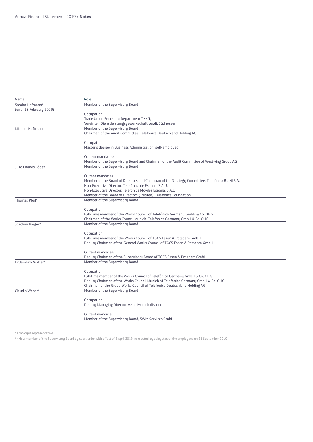| Name                     | Role                                                                                                                                                         |
|--------------------------|--------------------------------------------------------------------------------------------------------------------------------------------------------------|
| Sandra Hofmann*          | Member of the Supervisory Board                                                                                                                              |
| (until 18 February 2019) |                                                                                                                                                              |
|                          | Occupation:                                                                                                                                                  |
|                          | Trade Union Secretary Department TK/IT,                                                                                                                      |
|                          | Vereinten Dienstleistungsgewerkschaft ver.di, Südhessen                                                                                                      |
| Michael Hoffmann         | Member of the Supervisory Board                                                                                                                              |
|                          | Chairman of the Audit Committee, Telefónica Deutschland Holding AG                                                                                           |
|                          |                                                                                                                                                              |
|                          | Occupation:                                                                                                                                                  |
|                          | Master's degree in Business Administration, self-employed                                                                                                    |
|                          |                                                                                                                                                              |
|                          | Current mandates:                                                                                                                                            |
|                          | Member of the Supervisory Board and Chairman of the Audit Committee of Westwing Group AG                                                                     |
| Julio Linares López      | Member of the Supervisory Board                                                                                                                              |
|                          |                                                                                                                                                              |
|                          | Current mandates:                                                                                                                                            |
|                          | Member of the Board of Directors and Chairman of the Strategy Committee, Telefónica Brazil S.A.<br>Non-Executive Director, Telefónica de España, S.A.U.      |
|                          | Non-Executive Director, Telefónica Móviles España, S.A.U.                                                                                                    |
|                          | Member of the Board of Directors (Trustee), Telefónica Foundation                                                                                            |
| Thomas Pfeil*            | Member of the Supervisory Board                                                                                                                              |
|                          |                                                                                                                                                              |
|                          | Occupation:                                                                                                                                                  |
|                          | Full-Time member of the Works Council of Telefónica Germany GmbH & Co. OHG                                                                                   |
|                          | Chairman of the Works Council Munich, Telefónica Germany GmbH & Co. OHG                                                                                      |
| Joachim Rieger*          | Member of the Supervisory Board                                                                                                                              |
|                          |                                                                                                                                                              |
|                          | Occupation:                                                                                                                                                  |
|                          | Full-Time member of the Works Council of TGCS Essen & Potsdam GmbH                                                                                           |
|                          | Deputy Chairman of the General Works Council of TGCS Essen & Potsdam GmbH                                                                                    |
|                          |                                                                                                                                                              |
|                          | Current mandates:                                                                                                                                            |
|                          | Deputy Chairman of the Supervisory Board of TGCS Essen & Potsdam GmbH                                                                                        |
| Dr Jan-Erik Walter*      | Member of the Supervisory Board                                                                                                                              |
|                          |                                                                                                                                                              |
|                          | Occupation:                                                                                                                                                  |
|                          | Full-time member of the Works Council of Telefónica Germany GmbH & Co. OHG                                                                                   |
|                          | Deputy Chairman of the Works Council Munich of Telefónica Germany GmbH & Co. OHG<br>Chairman of the Group Works Council of Telefónica Deutschland Holding AG |
|                          | Member of the Supervisory Board                                                                                                                              |
| Claudia Weber*           |                                                                                                                                                              |
|                          | Occupation:                                                                                                                                                  |
|                          | Deputy Managing Director, ver.di Munich district                                                                                                             |
|                          |                                                                                                                                                              |
|                          | Current mandate:                                                                                                                                             |
|                          | Member of the Supervisory Board, SWM Services GmbH                                                                                                           |
|                          |                                                                                                                                                              |

\* Employee representative

\*\* New member of the Supervisory Board by court order with effect of 3 April 2019, re-elected by delegates of the employees on 26 September 2019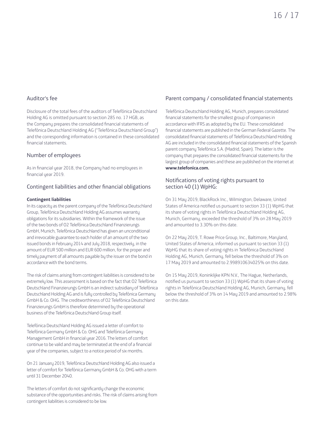#### Auditor's fee

Disclosure of the total fees of the auditors of Telefónica Deutschland Holding AG is omitted pursuant to section 285 no. 17 HGB, as the Company prepares the consolidated financial statements of Telefónica Deutschland Holding AG ("Telefónica Deutschland Group") and the corresponding information is contained in these consolidated financial statements.

#### Number of employees

As in financial year 2018, the Company had no employees in financial year 2019.

#### Contingent liabilities and other financial obligations

#### **Contingent liabilities**

In its capacity as the parent company of the Telefónica Deutschland Group, Telefónica Deutschland Holding AG assumes warranty obligations for its subsidiaries. Within the framework of the issue of the two bonds of O2 Telefónica Deutschland Finanzierungs GmbH, Munich, Telefónica Deutschland has given an unconditional and irrevocable guarantee to each holder of an amount of the two issued bonds in February 2014 and July 2018, respectively, in the amount of EUR 500 million and EUR 600 million, for the proper and timely payment of all amounts payable by the issuer on the bond in accordance with the bond terms.

The risk of claims arising from contingent liabilities is considered to be extremely low. This assessment is based on the fact that O2 Telefónica Deutschland Finanzierungs GmbH is an indirect subsidiary of Telefónica Deutschland Holding AG and is fully controlled by Telefónica Germany GmbH & Co. OHG. The creditworthiness of O2 Telefónica Deutschland Finanzierungs GmbH is therefore determined by the operational business of the Telefónica Deutschland Group itself.

Telefónica Deutschland Holding AG issued a letter of comfort to Telefónica Germany GmbH & Co. OHG and Telefónica Germany Management GmbH in financial year 2016. The letters of comfort continue to be valid and may be terminated at the end of a financial year of the companies, subject to a notice period of six months.

On 21 January 2019, Telefónica Deutschland Holding AG also issued a letter of comfort for Telefónica Germany GmbH & Co. OHG with a term until 31 December 2040.

The letters of comfort do not significantly change the economic substance of the opportunities and risks. The risk of claims arising from contingent liabilities is considered to be low.

#### Parent company / consolidated financial statements

Telefónica Deutschland Holding AG, Munich, prepares consolidated financial statements for the smallest group of companies in accordance with IFRS as adopted by the EU. These consolidated financial statements are published in the German Federal Gazette. The consolidated financial statements of Telefónica Deutschland Holding AG are included in the consolidated financial statements of the Spanish parent company Telefónica S.A. (Madrid, Spain). The latter is the company that prepares the consolidated financial statements for the largest group of companies and these are published on the internet at **www.telefonica.com.**

#### Notifications of voting rights pursuant to section 40 (1) WpHG:

On 31 May 2019, BlackRock Inc., Wilmington, Delaware, United States of America notified us pursuant to section 33 (1) WpHG that its share of voting rights in Telefónica Deutschland Holding AG, Munich, Germany, exceeded the threshold of 3% on 28 May 2019 and amounted to 3.30% on this date.

On 22 May 2019, T. Rowe Price Group, Inc., Baltimore, Maryland, United States of America, informed us pursuant to section 33 (1) WpHG that its share of voting rights in Telefónica Deutschland Holding AG, Munich, Germany, fell below the threshold of 3% on 17 May 2019 and amounted to 2.998910634025% on this date.

On 15 May 2019, Koninklijke KPN N.V., The Hague, Netherlands, notified us pursuant to section 33 (1) WpHG that its share of voting rights in Telefónica Deutschland Holding AG, Munich, Germany, fell below the threshold of 3% on 14 May 2019 and amounted to 2.98% on this date.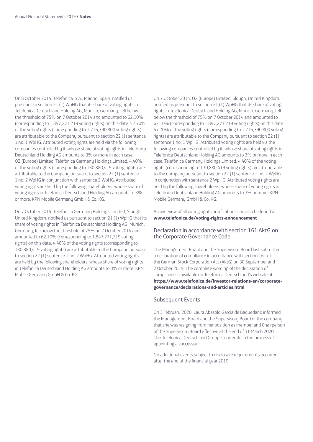On 8 October 2014, Telefónica, S.A., Madrid, Spain, notified us pursuant to section 21 (1) WpHG that its share of voting rights in Telefónica Deutschland Holding AG, Munich, Germany, fell below the threshold of 75% on 7 October 2014 and amounted to 62.10% (corresponding to 1,847,271,219 voting rights) on this date. 57.70% of the voting rights (corresponding to 1,716,390,800 voting rights) are attributable to the Company pursuant to section 22 (1) sentence 1 no. 1 WpHG. Attributed voting rights are held via the following companies controlled by it, whose share of voting rights in Telefónica Deutschland Holding AG amounts to 3% or more in each case: O2 (Europe) Limited, Telefónica Germany Holdings Limited. 4.40% of the voting rights (corresponding to 130,880,419 voting rights) are attributable to the Company pursuant to section 22 (1) sentence 1 no. 2 WpHG in conjunction with sentence 2 WpHG. Attributed voting rights are held by the following shareholders, whose share of voting rights in Telefónica Deutschland Holding AG amounts to 3% or more: KPN Mobile Germany GmbH & Co. KG.

On 7 October 2014, Telefónica Germany Holdings Limited, Slough, United Kingdom, notified us pursuant to section 21 (1) WpHG that its share of voting rights in Telefónica Deutschland Holding AG, Munich, Germany, fell below the threshold of 75% on 7 October 2014 and amounted to 62.10% (corresponding to 1,847,271,219 voting rights) on this date. 4.40% of the voting rights (corresponding to 130,880,419 voting rights) are attributable to the Company pursuant to section 22 (1) sentence 1 no. 2 WpHG. Attributed voting rights are held by the following shareholders, whose share of voting rights in Telefónica Deutschland Holding AG amounts to 3% or more: KPN Mobile Germany GmbH & Co. KG.

On 7 October 2014, O2 (Europe) Limited, Slough, United Kingdom, notified us pursuant to section 21 (1) WpHG that its share of voting rights in Telefónica Deutschland Holding AG, Munich, Germany, fell below the threshold of 75% on 7 October 2014 and amounted to 62.10% (corresponding to 1,847,271,219 voting rights) on this date. 57.70% of the voting rights (corresponding to 1,716,390,800 voting rights) are attributable to the Company pursuant to section 22 (1) sentence 1 no. 1 WpHG. Attributed voting rights are held via the following companies controlled by it, whose share of voting rights in Telefónica Deutschland Holding AG amounts to 3% or more in each case: Telefónica Germany Holdings Limited. 4.40% of the voting rights (corresponding to 130,880,419 voting rights) are attributable to the Company pursuant to section 22 (1) sentence 1 no. 2 WpHG in conjunction with sentence 2 WpHG. Attributed voting rights are held by the following shareholders, whose share of voting rights in Telefónica Deutschland Holding AG amounts to 3% or more: KPN Mobile Germany GmbH & Co. KG.

An overview of all voting rights notifications can also be found at **www.telefonica.de/voting-rights-announcement**

#### Declaration in accordance with section 161 AktG on the Corporate Governance Code

The Management Board and the Supervisory Board last submitted a declaration of compliance in accordance with section 161 of the German Stock Corporation Act (AktG) on 30 September and 2 October 2019. The complete wording of the declaration of compliance is available on Telefónica Deutschland's website at **https://www.telefonica.de/investor-relations-en/corporategovernance/declarations-and-articles.html**

#### Subsequent Events

On 3 February 2020, Laura Abasolo García de Baquedano informed the Management Board and the Supervisory Board of the company that she was resigning from her position as member and Chairperson of the Supervisory Board effective at the end of 31 March 2020. The Telefónica Deutschland Group is currently in the process of appointing a successor.

No additional events subject to disclosure requirements occurred after the end of the financial year 2019.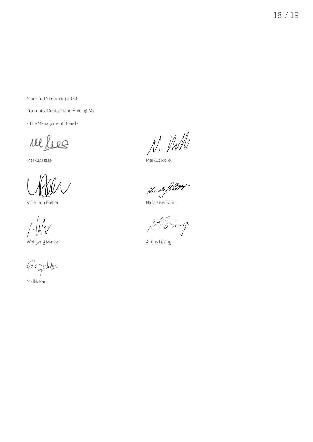18 / 19

Munich, 14 February 2020

Telefónica Deutschland Holding AG

- The Management Board -

rel les

Wolfgang Metze **Alfons Lösing** 

G. Juille

Mallik Rao

Nel lees M. M. M

Nudle Ret

Valentina Daiber Nicole Gerhardt

 $A'$ ising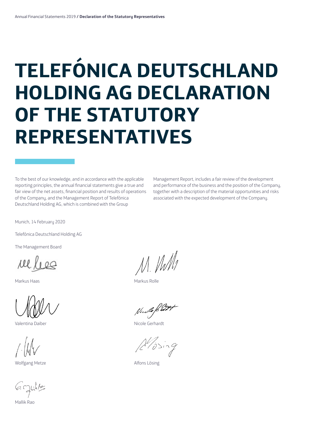# **TELEFÓNICA DEUTSCHLAND HOLDING AG DECLARATION OF THE STATUTORY REPRESENTATIVES**

To the best of our knowledge, and in accordance with the applicable reporting principles, the annual financial statements give a true and fair view of the net assets, financial position and results of operations of the Company, and the Management Report of Telefónica Deutschland Holding AG, which is combined with the Group

Management Report, includes a fair review of the development and performance of the business and the position of the Company, together with a description of the material opportunities and risks associated with the expected development of the Company.

Munich, 14 February 2020

Telefónica Deutschland Holding AG

The Management Board

Der Vorstand

Valentina Daiber Nicole Gerhardt

Wolfgang Metze **Alfons Lösing** 

 $6$  ghilts

Mallik Rao

M. Vill

Markus Haas Markus Rolle

 $\beta''$ jsing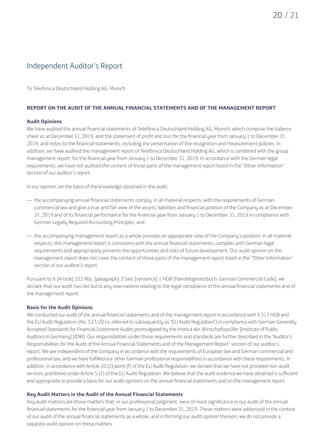### Independent Auditor's Report

To Telefónica Deutschland Holding AG, Munich

#### **REPORT ON THE AUDIT OF THE ANNUAL FINANCIAL STATEMENTS AND OF THE MANAGEMENT REPORT**

#### **Audit Opinions**

We have audited the annual financial statements of Telefónica Deutschland Holding AG, Munich, which comprise the balance sheet as at December 31, 2019, and the statement of profit and loss for the financial year from January 1 to December 31, 2019, and notes to the financial statements, including the presentation of the recognition and measurement policies. In addition, we have audited the management report of Telefónica Deutschland Holding AG, which is combined with the group management report, for the financial year from January 1 to December 31, 2019. In accordance with the German legal requirements, we have not audited the content of those parts of the management report listed in the "Other Information" section of our auditor's report.

In our opinion, on the basis of the knowledge obtained in the audit,

- the accompanying annual financial statements comply, in all material respects, with the requirements of German commercial law and give a true and fair view of the assets, liabilities and financial position of the Company as at December 31, 2019 and of its financial performance for the financial year from January 1 to December 31, 2019 in compliance with German Legally Required Accounting Principles, and
- the accompanying management report as a whole provides an appropriate view of the Company's position. In all material respects, this management report is consistent with the annual financial statements, complies with German legal requirements and appropriately presents the opportunities and risks of future development. Our audit opinion on the management report does not cover the content of those parts of the management report listed in the "Other Information" section of our auditor's report.

Pursuant to § [Article] 322 Abs. [paragraph] 3 Satz [sentence] 1 HGB [Handelsgesetzbuch: German Commercial Code], we declare that our audit has not led to any reservations relating to the legal compliance of the annual financial statements and of the management report.

#### **Basis for the Audit Opinions**

We conducted our audit of the annual financial statements and of the management report in accordance with § 317 HGB and the EU Audit Regulation (No. 537/2014, referred to subsequently as "EU Audit Regulation") in compliance with German Generally Accepted Standards for Financial Statement Audits promulgated by the Institut der Wirtschaftsprüfer [Institute of Public Auditors in Germany] (IDW). Our responsibilities under those requirements and standards are further described in the "Auditor's Responsibilities for the Audit of the Annual Financial Statements and of the Management Report" section of our auditor's report. We are independent of the Company in accordance with the requirements of European law and German commercial and professional law, and we have fulfilled our other German professional responsibilities in accordance with these requirements. In addition, in accordance with Article 10 (2) point (f) of the EU Audit Regulation, we declare that we have not provided non-audit services prohibited under Article 5 (1) of the EU Audit Regulation. We believe that the audit evidence we have obtained is sufficient and appropriate to provide a basis for our audit opinions on the annual financial statements and on the management report.

#### **Key Audit Matters in the Audit of the Annual Financial Statements**

Key audit matters are those matters that, in our professional judgment, were of most significance in our audit of the annual financial statements for the financial year from January 1 to December 31, 2019. These matters were addressed in the context of our audit of the annual financial statements as a whole, and in forming our audit opinion thereon; we do not provide a separate audit opinion on these matters.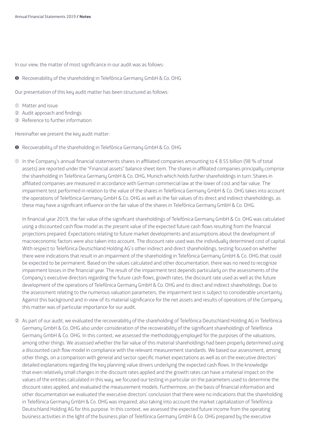In our view, the matter of most significance in our audit was as follows:

❶ Recoverability of the shareholding in Telefónica Germany GmbH & Co. OHG

Our presentation of this key audit matter has been structured as follows:

- ➀ Matter and issue
- ➁ Audit approach and findings
- ➂ Reference to further information

Hereinafter we present the key audit matter:

- ❶ Recoverability of the shareholding in Telefónica Germany GmbH & Co. OHG
- ➀ In the Company's annual financial statements shares in affiliated companies amounting to € 8.55 billion (98 % of total assets) are reported under the "Financial assets" balance sheet item. The shares in affiliated companies principally comprise the shareholding in Telefónica Germany GmbH & Co. OHG, Munich which holds further shareholdings in turn. Shares in affiliated companies are measured in accordance with German commercial law at the lower of cost and fair value. The impairment test performed in relation to the value of the shares in Telefónica Germany GmbH & Co. OHG takes into account the operations of Telefónica Germany GmbH & Co. OHG as well as the fair values of its direct and indirect shareholdings, as these may have a significant influence on the fair value of the shares in Telefónica Germany GmbH & Co. OHG.

In financial year 2019, the fair value of the significant shareholdings of Telefónica Germany GmbH & Co. OHG was calculated using a discounted cash flow model as the present value of the expected future cash flows resulting from the financial projections prepared. Expectations relating to future market developments and assumptions about the development of macroeconomic factors were also taken into account. The discount rate used was the individually determined cost of capital. With respect to Telefónica Deutschland Holding AG's other indirect and direct shareholdings, testing focused on whether there were indications that result in an impairment of the shareholding in Telefónica Germany GmbH & Co. OHG that could be expected to be permanent. Based on the values calculated and other documentation, there was no need to recognize impairment losses in the financial year. The result of the impairment test depends particularly on the assessments of the Company's executive directors regarding the future cash flows, growth rates, the discount rate used as well as the future development of the operations of Telefónica Germany GmbH & Co. OHG and its direct and indirect shareholdings. Due to the assessment relating to the numerous valuation parameters, the impairment test is subject to considerable uncertainty. Against this background and in view of its material significance for the net assets and results of operations of the Company, this matter was of particular importance for our audit.

➁ As part of our audit, we evaluated the recoverability of the shareholding of Telefónica Deutschland Holding AG in Telefónica Germany GmbH & Co. OHG also under consideration of the recoverability of the significant shareholdings of Telefónica Germany GmbH & Co. OHG. In this context, we assessed the methodology employed for the purposes of the valuations, among other things. We assessed whether the fair value of this material shareholdings had been properly determined using a discounted cash flow model in compliance with the relevant measurement standards. We based our assessment, among other things, on a comparison with general and sector-specific market expectations as well as on the executive directors' detailed explanations regarding the key planning value drivers underlying the expected cash flows. In the knowledge that even relatively small changes in the discount rates applied and the growth rates can have a material impact on the values of the entities calculated in this way, we focused our testing in particular on the parameters used to determine the discount rates applied, and evaluated the measurement models. Furthermore, on the basis of financial information and other documentation we evaluated the executive directors' conclusion that there were no indications that the shareholding in Telefónica Germany GmbH & Co. OHG was impaired, also taking into account the market capitalization of Telefónica Deutschland Holding AG for this purpose. In this context, we assessed the expected future income from the operating business activities in the light of the business plan of Telefónica Germany GmbH & Co. OHG prepared by the executive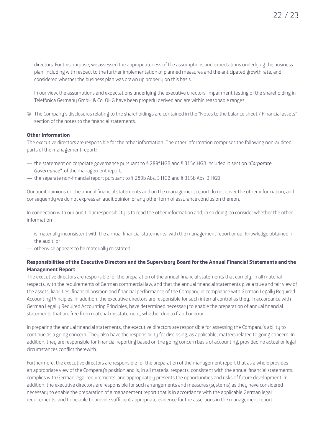directors. For this purpose, we assessed the appropriateness of the assumptions and expectations underlying the business plan, including with respect to the further implementation of planned measures and the anticipated growth rate, and considered whether the business plan was drawn up properly on this basis.

In our view, the assumptions and expectations underlying the executive directors' impairment testing of the shareholding in Telefónica Germany GmbH & Co. OHG have been properly derived and are within reasonable ranges.

➂ The Company's disclosures relating to the shareholdings are contained in the "Notes to the balance sheet / Financial assets" section of the notes to the financial statements.

#### **Other Information**

The executive directors are responsible for the other information. The other information comprises the following non-audited parts of the management report:

- the statement on corporate governance pursuant to § 289f HGB and § 315d HGB included in section *"Corporate Governance"* of the management report.
- the separate non-financial report pursuant to § 289b Abs. 3 HGB and § 315b Abs. 3 HGB

Our audit opinions on the annual financial statements and on the management report do not cover the other information, and consequently we do not express an audit opinion or any other form of assurance conclusion thereon.

In connection with our audit, our responsibility is to read the other information and, in so doing, to consider whether the other information

- is materially inconsistent with the annual financial statements, with the management report or our knowledge obtained in the audit, or
- otherwise appears to be materially misstated.

#### **Responsibilities of the Executive Directors and the Supervisory Board for the Annual Financial Statements and the Management Report**

The executive directors are responsible for the preparation of the annual financial statements that comply, in all material respects, with the requirements of German commercial law, and that the annual financial statements give a true and fair view of the assets, liabilities, financial position and financial performance of the Company in compliance with German Legally Required Accounting Principles. In addition, the executive directors are responsible for such internal control as they, in accordance with German Legally Required Accounting Principles, have determined necessary to enable the preparation of annual financial statements that are free from material misstatement, whether due to fraud or error.

In preparing the annual financial statements, the executive directors are responsible for assessing the Company's ability to continue as a going concern. They also have the responsibility for disclosing, as applicable, matters related to going concern. In addition, they are responsible for financial reporting based on the going concern basis of accounting, provided no actual or legal circumstances conflict therewith.

Furthermore, the executive directors are responsible for the preparation of the management report that as a whole provides an appropriate view of the Company's position and is, in all material respects, consistent with the annual financial statements, complies with German legal requirements, and appropriately presents the opportunities and risks of future development. In addition, the executive directors are responsible for such arrangements and measures (systems) as they have considered necessary to enable the preparation of a management report that is in accordance with the applicable German legal requirements, and to be able to provide sufficient appropriate evidence for the assertions in the management report.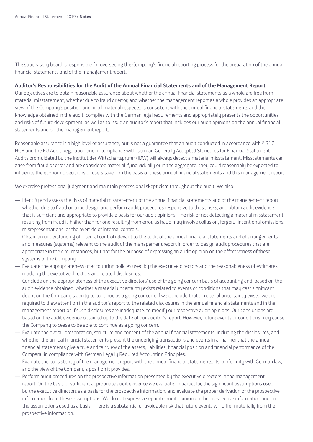The supervisory board is responsible for overseeing the Company's financial reporting process for the preparation of the annual financial statements and of the management report.

#### **Auditor's Responsibilities for the Audit of the Annual Financial Statements and of the Management Report**

Our objectives are to obtain reasonable assurance about whether the annual financial statements as a whole are free from material misstatement, whether due to fraud or error, and whether the management report as a whole provides an appropriate view of the Company's position and, in all material respects, is consistent with the annual financial statements and the knowledge obtained in the audit, complies with the German legal requirements and appropriately presents the opportunities and risks of future development, as well as to issue an auditor's report that includes our audit opinions on the annual financial statements and on the management report.

Reasonable assurance is a high level of assurance, but is not a guarantee that an audit conducted in accordance with § 317 HGB and the EU Audit Regulation and in compliance with German Generally Accepted Standards for Financial Statement Audits promulgated by the Institut der Wirtschaftsprüfer (IDW) will always detect a material misstatement. Misstatements can arise from fraud or error and are considered material if, individually or in the aggregate, they could reasonably be expected to influence the economic decisions of users taken on the basis of these annual financial statements and this management report.

We exercise professional judgment and maintain professional skepticism throughout the audit. We also:

- Identify and assess the risks of material misstatement of the annual financial statements and of the management report, whether due to fraud or error, design and perform audit procedures responsive to those risks, and obtain audit evidence that is sufficient and appropriate to provide a basis for our audit opinions. The risk of not detecting a material misstatement resulting from fraud is higher than for one resulting from error, as fraud may involve collusion, forgery, intentional omissions, misrepresentations, or the override of internal controls.
- Obtain an understanding of internal control relevant to the audit of the annual financial statements and of arrangements and measures (systems) relevant to the audit of the management report in order to design audit procedures that are appropriate in the circumstances, but not for the purpose of expressing an audit opinion on the effectiveness of these sustems of the Company.
- Evaluate the appropriateness of accounting policies used by the executive directors and the reasonableness of estimates made by the executive directors and related disclosures.
- Conclude on the appropriateness of the executive directors' use of the going concern basis of accounting and, based on the audit evidence obtained, whether a material uncertainty exists related to events or conditions that may cast significant doubt on the Company's ability to continue as a going concern. If we conclude that a material uncertainty exists, we are required to draw attention in the auditor's report to the related disclosures in the annual financial statements and in the management report or, if such disclosures are inadequate, to modify our respective audit opinions. Our conclusions are based on the audit evidence obtained up to the date of our auditor's report. However, future events or conditions may cause the Company to cease to be able to continue as a going concern.
- Evaluate the overall presentation, structure and content of the annual financial statements, including the disclosures, and whether the annual financial statements present the underlying transactions and events in a manner that the annual financial statements give a true and fair view of the assets, liabilities, financial position and financial performance of the Company in compliance with German Legally Required Accounting Principles.
- Evaluate the consistency of the management report with the annual financial statements, its conformity with German law, and the view of the Company's position it provides.
- Perform audit procedures on the prospective information presented by the executive directors in the management report. On the basis of sufficient appropriate audit evidence we evaluate, in particular, the significant assumptions used by the executive directors as a basis for the prospective information, and evaluate the proper derivation of the prospective information from these assumptions. We do not express a separate audit opinion on the prospective information and on the assumptions used as a basis. There is a substantial unavoidable risk that future events will differ materially from the prospective information.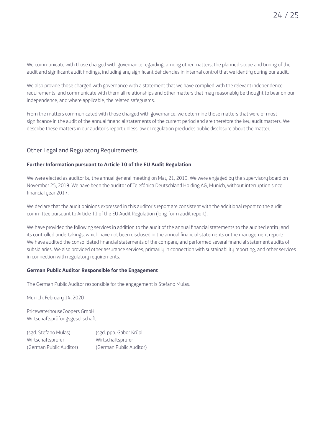We communicate with those charged with governance regarding, among other matters, the planned scope and timing of the audit and significant audit findings, including any significant deficiencies in internal control that we identify during our audit.

We also provide those charged with governance with a statement that we have complied with the relevant independence requirements, and communicate with them all relationships and other matters that may reasonably be thought to bear on our independence, and where applicable, the related safeguards.

From the matters communicated with those charged with governance, we determine those matters that were of most significance in the audit of the annual financial statements of the current period and are therefore the key audit matters. We describe these matters in our auditor's report unless law or regulation precludes public disclosure about the matter.

#### Other Legal and Regulatory Requirements

#### **Further Information pursuant to Article 10 of the EU Audit Regulation**

We were elected as auditor by the annual general meeting on May 21, 2019. We were engaged by the supervisory board on November 25, 2019. We have been the auditor of Telefónica Deutschland Holding AG, Munich, without interruption since financial year 2017.

We declare that the audit opinions expressed in this auditor's report are consistent with the additional report to the audit committee pursuant to Article 11 of the EU Audit Regulation (long-form audit report).

We have provided the following services in addition to the audit of the annual financial statements to the audited entitu and its controlled undertakings, which have not been disclosed in the annual financial statements or the management report: We have audited the consolidated financial statements of the company and performed several financial statement audits of subsidiaries. We also provided other assurance services, primarily in connection with sustainability reporting, and other services in connection with regulatory requirements.

#### **German Public Auditor Responsible for the Engagement**

The German Public Auditor responsible for the engagement is Stefano Mulas.

Munich, February 14, 2020

PricewaterhouseCoopers GmbH Wirtschaftsprüfungsgesellschaft

(sgd. Stefano Mulas) (sgd. ppa. Gabor Krüpl Wirtschaftsprüfer Wirtschaftsprüfer (German Public Auditor) (German Public Auditor)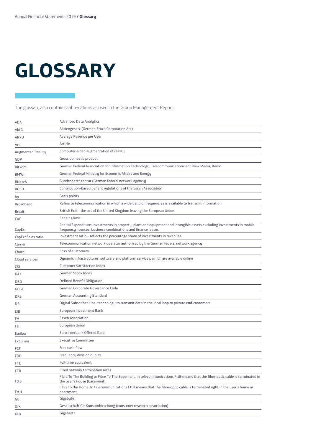# **GLOSSARY**

The glossary also contains abbreviations as used in the Group Management Report.

| ADA               | <b>Advanced Data Analytics</b>                                                                                                                                                          |
|-------------------|-----------------------------------------------------------------------------------------------------------------------------------------------------------------------------------------|
| AktG              | Aktiengesetz (German Stock Corporation Act)                                                                                                                                             |
| <b>ARPU</b>       | Average Revenue per User                                                                                                                                                                |
| Art.              | Article                                                                                                                                                                                 |
| Augmented Reality | Computer-aided augmentation of reality                                                                                                                                                  |
| GDP               | Gross domestic product                                                                                                                                                                  |
| <b>Bitkom</b>     | German Federal Association for Information Technology, Telecommunications and New Media, Berlin                                                                                         |
| <b>BMWi</b>       | German Federal Ministry for Economic Affairs and Energy                                                                                                                                 |
| <b>BNetzA</b>     | Bundesnetzagentur (German federal network agency)                                                                                                                                       |
| <b>BOLO</b>       | Contribution-based benefit regulations of the Essen Association                                                                                                                         |
| bp                | Basis points                                                                                                                                                                            |
| Broadband         | Refers to telecommunication in which a wide band of frequencies is available to transmit information                                                                                    |
| Brexit            | British Exit – the act of the United Kingdom leaving the European Union                                                                                                                 |
| CAP               | Capping limit                                                                                                                                                                           |
| CapEx             | Capital Expenditure: Investments in property, plant and equipment and intangible assets excluding investments in mobile<br>frequency licences, business combinations and finance leases |
| CapEx/Sales ratio | Investment ratio – reflects the percentage share of investments in revenues                                                                                                             |
| Carrier           | Telecommunication network operator authorised by the German federal network agency                                                                                                      |
| Churn             | Loss of customers                                                                                                                                                                       |
| Cloud services    | Dynamic infrastructures, software and platform services, which are available online                                                                                                     |
| <b>CSI</b>        | <b>Customer Satisfaction Index</b>                                                                                                                                                      |
| DAX               | German Stock Index                                                                                                                                                                      |
| <b>DBO</b>        | Defined Benefit Obligation                                                                                                                                                              |
| GCGC              | German Corporate Governance Code                                                                                                                                                        |
| DRS               | German Accounting Standard                                                                                                                                                              |
| DSL               | Digital Subscriber Line: technology to transmit data in the local loop to private end-customers                                                                                         |
| EIB               | European Investment Bank                                                                                                                                                                |
| EV                | <b>Essen Association</b>                                                                                                                                                                |
| EU                | <b>European Union</b>                                                                                                                                                                   |
| Euribor           | Euro Interbank Offered Rate                                                                                                                                                             |
| ExComm            | <b>Executive Committee</b>                                                                                                                                                              |
| FCF               | Free cash flow                                                                                                                                                                          |
| FDD               | Frequency division duplex                                                                                                                                                               |
| FTE               | Full-time equivalent                                                                                                                                                                    |
| FTR               | Fixed network termination rates                                                                                                                                                         |
| FttB              | Fibre To The Building or Fibre To The Basement. In telecommunications FttB means that the fibre-optic cable is terminated in<br>the user's house (basement).                            |
| FttH              | Fibre to the Home. In telecommunications FttH means that the fibre-optic cable is terminated right in the user's home or<br>apartment.                                                  |
| GB                | Gigabyte                                                                                                                                                                                |
| GfK               | Gesellschaft für Konsumforschung (consumer research association)                                                                                                                        |
| GHz               | Gigahertz                                                                                                                                                                               |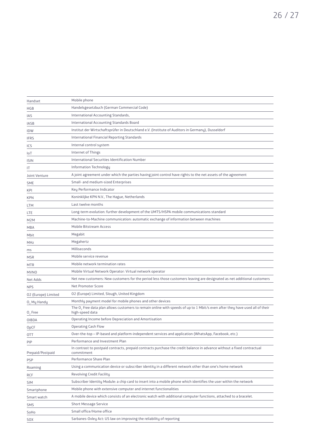| Handset                 | Mobile phone                                                                                                                                                |
|-------------------------|-------------------------------------------------------------------------------------------------------------------------------------------------------------|
| HGB                     | Handelsgesetzbuch (German Commercial Code)                                                                                                                  |
| IAS                     | International Accounting Standards,                                                                                                                         |
| <b>IASB</b>             | International Accounting Standards Board                                                                                                                    |
| IDW                     | Institut der Wirtschaftsprüfer in Deutschland e.V. (Institute of Auditors in Germany), Dusseldorf                                                           |
| <b>IFRS</b>             | International Financial Reporting Standards                                                                                                                 |
| ICS                     | Internal control system                                                                                                                                     |
| loT                     | Internet of Things                                                                                                                                          |
| <b>ISIN</b>             | International Securities Identification Number                                                                                                              |
| IT                      | Information Technology                                                                                                                                      |
| Joint Venture           | A joint agreement under which the parties having joint control have rights to the net assets of the agreement                                               |
| <b>SME</b>              | Small- and medium-sized Enterprises                                                                                                                         |
| KPI                     | Key Performance Indicator                                                                                                                                   |
| <b>KPN</b>              | Koninklijke KPN N.V., The Hague, Netherlands                                                                                                                |
| LTM                     | Last twelve months                                                                                                                                          |
| LTE                     | Long-term evolution: further development of the UMTS/HSPA mobile communications standard                                                                    |
| M2M                     | Machine-to-Machine communication: automatic exchange of information between machines                                                                        |
| MBA                     | Mobile Bitstream Access                                                                                                                                     |
| Mbit                    | Megabit                                                                                                                                                     |
| MHz                     | Megahertz                                                                                                                                                   |
| ms                      | Milliseconds                                                                                                                                                |
| MSR                     | Mobile service revenue                                                                                                                                      |
| <b>MTR</b>              | Mobile network termination rates                                                                                                                            |
| <b>MVNO</b>             | Mobile Virtual Network Operator: Virtual network operator                                                                                                   |
| Net Adds                | Net new customers: New customers for the period less those customers leaving are designated as net additional customers                                     |
| <b>NPS</b>              | Net Promoter Score                                                                                                                                          |
| 02 (Europe) Limited     | 02 (Europe) Limited, Slough, United Kingdom                                                                                                                 |
| O <sub>2</sub> My Handy | Monthly payment model for mobile phones and other devices                                                                                                   |
| 0, Free                 | The O <sub>2</sub> Free data plan allows customers to remain online with speeds of up to 1 Mbit/s even after they have used all of their<br>high-speed data |
| <b>OIBDA</b>            | Operating Income before Depreciation and Amortisation                                                                                                       |
| <b>OpCF</b>             | <b>Operating Cash Flow</b>                                                                                                                                  |
| OTT                     | Over-the-top - IP-based and platform-independent services and application (WhatsApp, Facebook, etc.)                                                        |
| PIP                     | Performance and Investment Plan                                                                                                                             |
| Prepaid/Postpaid        | In contrast to postpaid contracts, prepaid contracts purchase the credit balance in advance without a fixed contractual<br>commitment                       |
| PSP                     | Performance Share Plan                                                                                                                                      |
| Roaming                 | Using a communication device or subscriber identity in a different network other than one's home network                                                    |
| RCF                     | Revolving Credit Facility                                                                                                                                   |
| <b>SIM</b>              | Subscriber Identity Module: a chip card to insert into a mobile phone which identifies the user within the network                                          |
| Smartphone              | Mobile phone with extensive computer and internet functionalities                                                                                           |
| Smart watch             | A mobile device which consists of an electronic watch with additional computer functions, attached to a bracelet.                                           |
| SMS                     | <b>Short Message Service</b>                                                                                                                                |
| SoHo                    | Small office/Home office                                                                                                                                    |

SOX Sarbanes-Oxley Act: US law on improving the reliability of reporting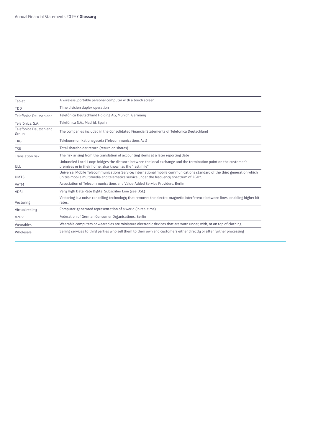| The companies included in the Consolidated Financial Statements of Telefónica Deutschland                                                                                                                        |
|------------------------------------------------------------------------------------------------------------------------------------------------------------------------------------------------------------------|
|                                                                                                                                                                                                                  |
|                                                                                                                                                                                                                  |
| The risk arising from the translation of accounting items at a later reporting date                                                                                                                              |
| Unbundled Local Loop: bridges the distance between the local exchange and the termination point on the customer's                                                                                                |
| Universal Mobile Telecommunications Service: international mobile communications standard of the third generation which<br>unites mobile multimedia and telematics service under the frequency spectrum of 2GHz. |
| Association of Telecommunications and Value-Added Service Providers, Berlin                                                                                                                                      |
|                                                                                                                                                                                                                  |
| Vectoring is a noise-cancelling technology that removes the electro-magnetic interference between lines, enabling higher bit                                                                                     |
|                                                                                                                                                                                                                  |
|                                                                                                                                                                                                                  |
| Wearable computers or wearables are miniature electronic devices that are worn under, with, or on top of clothing                                                                                                |
| Selling services to third parties who sell them to their own end customers either directly or after further processing                                                                                           |
|                                                                                                                                                                                                                  |